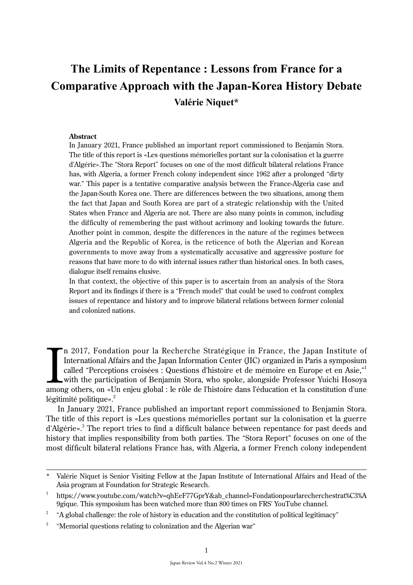# **The Limits of Repentance : Lessons from France for a Comparative Approach with the Japan-Korea History Debate Valérie Niquet\***

#### **Abstract**

In January 2021, France published an important report commissioned to Benjamin Stora. The title of this report is «Les questions mémorielles portant sur la colonisation et la guerre d'Algérie».The "Stora Report" focuses on one of the most difficult bilateral relations France has, with Algeria, a former French colony independent since 1962 after a prolonged "dirty war." This paper is a tentative comparative analysis between the France-Algeria case and the Japan-South Korea one. There are differences between the two situations, among them the fact that Japan and South Korea are part of a strategic relationship with the United States when France and Algeria are not. There are also many points in common, including the difficulty of remembering the past without acrimony and looking towards the future. Another point in common, despite the differences in the nature of the regimes between Algeria and the Republic of Korea, is the reticence of both the Algerian and Korean governments to move away from a systematically accusative and aggressive posture for reasons that have more to do with internal issues rather than historical ones. In both cases, dialogue itself remains elusive.

In that context, the objective of this paper is to ascertain from an analysis of the Stora Report and its findings if there is a "French model" that could be used to confront complex issues of repentance and history and to improve bilateral relations between former colonial and colonized nations.

In 2017, Fondation pour la Recherche Stratégique in France, the Japan Institute of<br>International Affairs and the Japan Information Center (JIC) organized in Paris a symposium<br>called "Perceptions croisées : Questions d'hist n 2017, Fondation pour la Recherche Stratégique in France, the Japan Institute of International Affairs and the Japan Information Center (JIC) organized in Paris a symposium called "Perceptions croisées : Questions d'histoire et de mémoire en Europe et en Asie," 1 with the participation of Benjamin Stora, who spoke, alongside Professor Yuichi Hosoya légitimité politique». $2$ 

In January 2021, France published an important report commissioned to Benjamin Stora. The title of this report is «Les questions mémorielles portant sur la colonisation et la guerre d'Algérie».<sup>3</sup> The report tries to find a difficult balance between repentance for past deeds and history that implies responsibility from both parties. The "Stora Report" focuses on one of the most difficult bilateral relations France has, with Algeria, a former French colony independent

Valérie Niquet is Senior Visiting Fellow at the Japan Institute of International Affairs and Head of the Asia program at Foundation for Strategic Research.

<sup>1</sup> https://www.youtube.com/watch?v=qhEeF77GprY&ab\_channel=Fondationpourlarecherchestrat%C3%A 9gique. This symposium has been watched more than 800 times on FRS' YouTube channel.

<sup>&</sup>lt;sup>2</sup> "A global challenge: the role of history in education and the constitution of political legitimacy"

<sup>&</sup>lt;sup>3</sup> "Memorial questions relating to colonization and the Algerian war"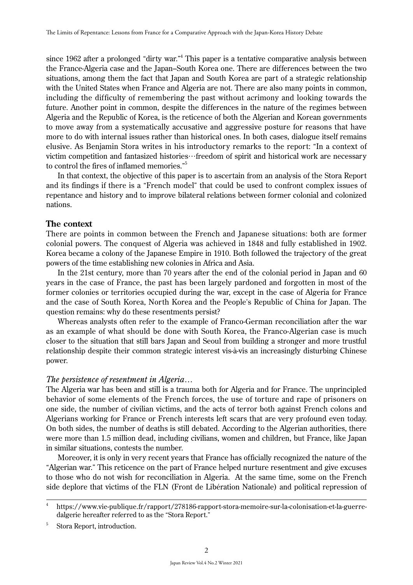since 1962 after a prolonged "dirty war."<sup>4</sup> This paper is a tentative comparative analysis between the France-Algeria case and the Japan–South Korea one. There are differences between the two situations, among them the fact that Japan and South Korea are part of a strategic relationship with the United States when France and Algeria are not. There are also many points in common, including the difficulty of remembering the past without acrimony and looking towards the future. Another point in common, despite the differences in the nature of the regimes between Algeria and the Republic of Korea, is the reticence of both the Algerian and Korean governments to move away from a systematically accusative and aggressive posture for reasons that have more to do with internal issues rather than historical ones. In both cases, dialogue itself remains elusive. As Benjamin Stora writes in his introductory remarks to the report: "In a context of victim competition and fantasized histories…freedom of spirit and historical work are necessary to control the fires of inflamed memories." 5

In that context, the objective of this paper is to ascertain from an analysis of the Stora Report and its findings if there is a "French model" that could be used to confront complex issues of repentance and history and to improve bilateral relations between former colonial and colonized nations.

# **The context**

There are points in common between the French and Japanese situations: both are former colonial powers. The conquest of Algeria was achieved in 1848 and fully established in 1902. Korea became a colony of the Japanese Empire in 1910. Both followed the trajectory of the great powers of the time establishing new colonies in Africa and Asia.

In the 21st century, more than 70 years after the end of the colonial period in Japan and 60 years in the case of France, the past has been largely pardoned and forgotten in most of the former colonies or territories occupied during the war, except in the case of Algeria for France and the case of South Korea, North Korea and the People's Republic of China for Japan. The question remains: why do these resentments persist?

Whereas analysts often refer to the example of Franco-German reconciliation after the war as an example of what should be done with South Korea, the Franco-Algerian case is much closer to the situation that still bars Japan and Seoul from building a stronger and more trustful relationship despite their common strategic interest vis-à-vis an increasingly disturbing Chinese power.

## *The persistence of resentment in Algeria…*

The Algeria war has been and still is a trauma both for Algeria and for France. The unprincipled behavior of some elements of the French forces, the use of torture and rape of prisoners on one side, the number of civilian victims, and the acts of terror both against French colons and Algerians working for France or French interests left scars that are very profound even today. On both sides, the number of deaths is still debated. According to the Algerian authorities, there were more than 1.5 million dead, including civilians, women and children, but France, like Japan in similar situations, contests the number.

Moreover, it is only in very recent years that France has officially recognized the nature of the "Algerian war." This reticence on the part of France helped nurture resentment and give excuses to those who do not wish for reconciliation in Algeria. At the same time, some on the French side deplore that victims of the FLN (Front de Libération Nationale) and political repression of

<sup>4</sup> https://www.vie-publique.fr/rapport/278186-rapport-stora-memoire-sur-la-colonisation-et-la-guerredalgerie hereafter referred to as the "Stora Report."

<sup>&</sup>lt;sup>5</sup> Stora Report, introduction.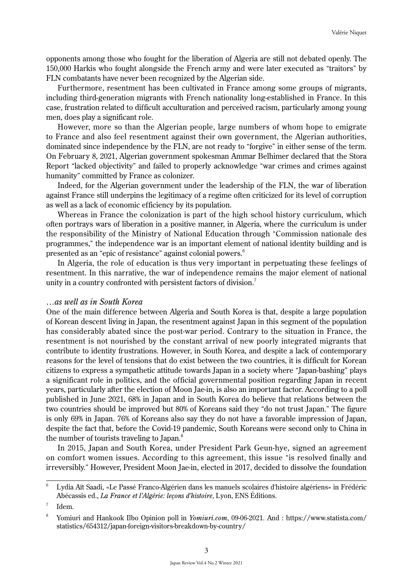opponents among those who fought for the liberation of Algeria are still not debated openly. The 150,000 Harkis who fought alongside the French army and were later executed as "traitors" by FLN combatants have never been recognized by the Algerian side.

Furthermore, resentment has been cultivated in France among some groups of migrants, including third-generation migrants with French nationality long-established in France. In this case, frustration related to difficult acculturation and perceived racism, particularly among young men, does play a significant role.

However, more so than the Algerian people, large numbers of whom hope to emigrate to France and also feel resentment against their own government, the Algerian authorities, dominated since independence by the FLN, are not ready to "forgive" in either sense of the term. On February 8, 2021, Algerian government spokesman Ammar Belhimer declared that the Stora Report "lacked objectivity" and failed to properly acknowledge "war crimes and crimes against humanity" committed by France as colonizer.

Indeed, for the Algerian government under the leadership of the FLN, the war of liberation against France still underpins the legitimacy of a regime often criticized for its level of corruption as well as a lack of economic efficiency by its population.

Whereas in France the colonization is part of the high school history curriculum, which often portrays wars of liberation in a positive manner, in Algeria, where the curriculum is under the responsibility of the Ministry of National Education through "Commission nationale des programmes," the independence war is an important element of national identity building and is presented as an "epic of resistance" against colonial powers.<sup>6</sup>

In Algeria, the role of education is thus very important in perpetuating these feelings of resentment. In this narrative, the war of independence remains the major element of national unity in a country confronted with persistent factors of division.<sup>7</sup>

#### *…as well as in South Korea*

One of the main difference between Algeria and South Korea is that, despite a large population of Korean descent living in Japan, the resentment against Japan in this segment of the population has considerably abated since the post-war period. Contrary to the situation in France, the resentment is not nourished by the constant arrival of new poorly integrated migrants that contribute to identity frustrations. However, in South Korea, and despite a lack of contemporary reasons for the level of tensions that do exist between the two countries, it is difficult for Korean citizens to express a sympathetic attitude towards Japan in a society where "Japan-bashing" plays a significant role in politics, and the official governmental position regarding Japan in recent years, particularly after the election of Moon Jae-in, is also an important factor. According to a poll published in June 2021, 68% in Japan and in South Korea do believe that relations between the two countries should be improved but 80% of Koreans said they "do not trust Japan." The figure is only 69% in Japan. 76% of Koreans also say they do not have a favorable impression of Japan, despite the fact that, before the Covid-19 pandemic, South Koreans were second only to China in the number of tourists traveling to Japan.<sup>8</sup>

In 2015, Japan and South Korea, under President Park Geun-hye, signed an agreement on comfort women issues. According to this agreement, this issue "is resolved finally and irreversibly." However, President Moon Jae-in, elected in 2017, decided to dissolve the foundation

<sup>6</sup> Lydia Aït Saadi, «Le Passé Franco-Algérien dans les manuels scolaires d'histoire algériens» in Frédéric Abécassis ed., *La France et l'Algérie: leçons d'histoire*, Lyon, ENS Éditions.

 $<sup>7</sup>$  Idem.</sup>

<sup>8</sup> Yomiuri and Hankook Ilbo Opinion poll in *Yomiuri.com*, 09-06-2021. And : https://www.statista.com/ statistics/654312/japan-foreign-visitors-breakdown-by-country/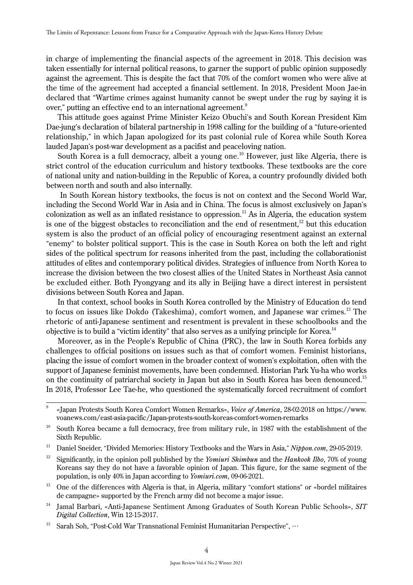in charge of implementing the financial aspects of the agreement in 2018. This decision was taken essentially for internal political reasons, to garner the support of public opinion supposedly against the agreement. This is despite the fact that 70% of the comfort women who were alive at the time of the agreement had accepted a financial settlement. In 2018, President Moon Jae-in declared that "Wartime crimes against humanity cannot be swept under the rug by saying it is over," putting an effective end to an international agreement.<sup>9</sup>

This attitude goes against Prime Minister Keizo Obuchi's and South Korean President Kim Dae-jung's declaration of bilateral partnership in 1998 calling for the building of a "future-oriented relationship," in which Japan apologized for its past colonial rule of Korea while South Korea lauded Japan's post-war development as a pacifist and peaceloving nation.

South Korea is a full democracy, albeit a young one.<sup>10</sup> However, just like Algeria, there is strict control of the education curriculum and history textbooks. These textbooks are the core of national unity and nation-building in the Republic of Korea, a country profoundly divided both between north and south and also internally.

 In South Korean history textbooks, the focus is not on context and the Second World War, including the Second World War in Asia and in China. The focus is almost exclusively on Japan's colonization as well as an inflated resistance to oppression.<sup>11</sup> As in Algeria, the education system is one of the biggest obstacles to reconciliation and the end of resentment, $1<sup>2</sup>$  but this education system is also the product of an official policy of encouraging resentment against an external "enemy" to bolster political support. This is the case in South Korea on both the left and right sides of the political spectrum for reasons inherited from the past, including the collaborationist attitudes of elites and contemporary political divides. Strategies of influence from North Korea to increase the division between the two closest allies of the United States in Northeast Asia cannot be excluded either. Both Pyongyang and its ally in Beijing have a direct interest in persistent divisions between South Korea and Japan.

In that context, school books in South Korea controlled by the Ministry of Education do tend to focus on issues like Dokdo (Takeshima), comfort women, and Japanese war crimes.<sup>13</sup> The rhetoric of anti-Japanese sentiment and resentment is prevalent in these schoolbooks and the objective is to build a "victim identity" that also serves as a unifying principle for Korea.<sup>14</sup>

Moreover, as in the People's Republic of China (PRC), the law in South Korea forbids any challenges to official positions on issues such as that of comfort women. Feminist historians, placing the issue of comfort women in the broader context of women's exploitation, often with the support of Japanese feminist movements, have been condemned. Historian Park Yu-ha who works on the continuity of patriarchal society in Japan but also in South Korea has been denounced.15 In 2018, Professor Lee Tae-he, who questioned the systematically forced recruitment of comfort

<sup>9 «</sup>Japan Protests South Korea Comfort Women Remarks», *Voice of America*, 28-02-2018 on https://www. voanews.com/east-asia-pacific/Japan-protests-south-koreas-comfort-women-remarks

<sup>&</sup>lt;sup>10</sup> South Korea became a full democracy, free from military rule, in 1987 with the establishment of the Sixth Republic.

<sup>&</sup>lt;sup>11</sup> Daniel Sneider, "Divided Memories: History Textbooks and the Wars in Asia," *Nippon.com*, 29-05-2019.

<sup>12</sup> Significantly, in the opinion poll published by the *Yomiuri Shimbun* and the *Hankook Ilbo*, 70% of young Koreans say they do not have a favorable opinion of Japan. This figure, for the same segment of the population, is only 40% in Japan according to *Yomiuri.com*, 09-06-2021.

<sup>&</sup>lt;sup>13</sup> One of the differences with Algeria is that, in Algeria, military "comfort stations" or «bordel militaires de campagne» supported by the French army did not become a major issue.

<sup>14</sup> Jamal Barbari, «Anti-Japanese Sentiment Among Graduates of South Korean Public Schools», *SIT Digital Collection*, Win 12-15-2017.

<sup>&</sup>lt;sup>15</sup> Sarah Soh, "Post-Cold War Transnational Feminist Humanitarian Perspective", ...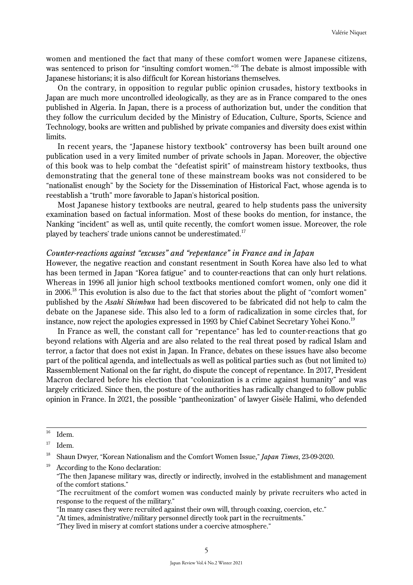women and mentioned the fact that many of these comfort women were Japanese citizens, was sentenced to prison for "insulting comfort women."<sup>16</sup> The debate is almost impossible with Japanese historians; it is also difficult for Korean historians themselves.

On the contrary, in opposition to regular public opinion crusades, history textbooks in Japan are much more uncontrolled ideologically, as they are as in France compared to the ones published in Algeria. In Japan, there is a process of authorization but, under the condition that they follow the curriculum decided by the Ministry of Education, Culture, Sports, Science and Technology, books are written and published by private companies and diversity does exist within limits.

In recent years, the "Japanese history textbook" controversy has been built around one publication used in a very limited number of private schools in Japan. Moreover, the objective of this book was to help combat the "defeatist spirit" of mainstream history textbooks, thus demonstrating that the general tone of these mainstream books was not considered to be "nationalist enough" by the Society for the Dissemination of Historical Fact, whose agenda is to reestablish a "truth" more favorable to Japan's historical position.

Most Japanese history textbooks are neutral, geared to help students pass the university examination based on factual information. Most of these books do mention, for instance, the Nanking "incident" as well as, until quite recently, the comfort women issue. Moreover, the role played by teachers' trade unions cannot be underestimated.<sup>17</sup>

## *Counter-reactions against "excuses" and "repentance" in France and in Japan*

However, the negative reaction and constant resentment in South Korea have also led to what has been termed in Japan "Korea fatigue" and to counter-reactions that can only hurt relations. Whereas in 1996 all junior high school textbooks mentioned comfort women, only one did it in 2006.18 This evolution is also due to the fact that stories about the plight of "comfort women" published by the *Asahi Shimbun* had been discovered to be fabricated did not help to calm the debate on the Japanese side. This also led to a form of radicalization in some circles that, for instance, now reject the apologies expressed in 1993 by Chief Cabinet Secretary Yohei Kono.<sup>19</sup>

In France as well, the constant call for "repentance" has led to counter-reactions that go beyond relations with Algeria and are also related to the real threat posed by radical Islam and terror, a factor that does not exist in Japan. In France, debates on these issues have also become part of the political agenda, and intellectuals as well as political parties such as (but not limited to) Rassemblement National on the far right, do dispute the concept of repentance. In 2017, President Macron declared before his election that "colonization is a crime against humanity" and was largely criticized. Since then, the posture of the authorities has radically changed to follow public opinion in France. In 2021, the possible "pantheonization" of lawyer Gisèle Halimi, who defended

According to the Kono declaration:

 $16$  Idem.

 $17$  Idem.

<sup>18</sup> Shaun Dwyer, "Korean Nationalism and the Comfort Women Issue," *Japan Times*, 23-09-2020.

"The then Japanese military was, directly or indirectly, involved in the establishment and management of the comfort stations."

"The recruitment of the comfort women was conducted mainly by private recruiters who acted in response to the request of the military."

<sup>&</sup>quot;In many cases they were recruited against their own will, through coaxing, coercion, etc."

<sup>&</sup>quot;At times, administrative/military personnel directly took part in the recruitments."

<sup>&</sup>quot;They lived in misery at comfort stations under a coercive atmosphere."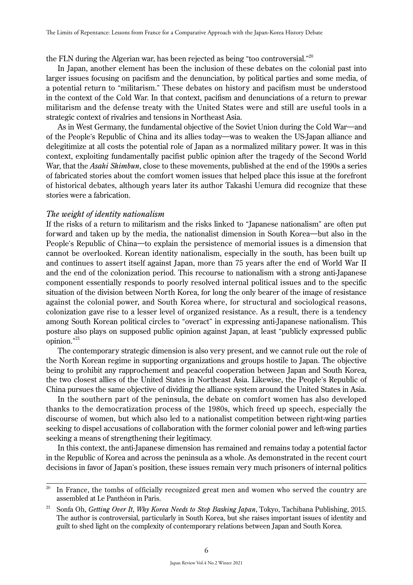the FLN during the Algerian war, has been rejected as being "too controversial." $^{\rm 20}$ 

In Japan, another element has been the inclusion of these debates on the colonial past into larger issues focusing on pacifism and the denunciation, by political parties and some media, of a potential return to "militarism." These debates on history and pacifism must be understood in the context of the Cold War. In that context, pacifism and denunciations of a return to prewar militarism and the defense treaty with the United States were and still are useful tools in a strategic context of rivalries and tensions in Northeast Asia.

As in West Germany, the fundamental objective of the Soviet Union during the Cold War―and of the People's Republic of China and its allies today―was to weaken the US-Japan alliance and delegitimize at all costs the potential role of Japan as a normalized military power. It was in this context, exploiting fundamentally pacifist public opinion after the tragedy of the Second World War, that the *Asahi Shimbun*, close to these movements, published at the end of the 1990s a series of fabricated stories about the comfort women issues that helped place this issue at the forefront of historical debates, although years later its author Takashi Uemura did recognize that these stories were a fabrication.

## *The weight of identity nationalism*

If the risks of a return to militarism and the risks linked to "Japanese nationalism" are often put forward and taken up by the media, the nationalist dimension in South Korea―but also in the People's Republic of China―to explain the persistence of memorial issues is a dimension that cannot be overlooked. Korean identity nationalism, especially in the south, has been built up and continues to assert itself against Japan, more than 75 years after the end of World War II and the end of the colonization period. This recourse to nationalism with a strong anti-Japanese component essentially responds to poorly resolved internal political issues and to the specific situation of the division between North Korea, for long the only bearer of the image of resistance against the colonial power, and South Korea where, for structural and sociological reasons, colonization gave rise to a lesser level of organized resistance. As a result, there is a tendency among South Korean political circles to "overact" in expressing anti-Japanese nationalism. This posture also plays on supposed public opinion against Japan, at least "publicly expressed public opinion." 21

The contemporary strategic dimension is also very present, and we cannot rule out the role of the North Korean regime in supporting organizations and groups hostile to Japan. The objective being to prohibit any rapprochement and peaceful cooperation between Japan and South Korea, the two closest allies of the United States in Northeast Asia. Likewise, the People's Republic of China pursues the same objective of dividing the alliance system around the United States in Asia.

In the southern part of the peninsula, the debate on comfort women has also developed thanks to the democratization process of the 1980s, which freed up speech, especially the discourse of women, but which also led to a nationalist competition between right-wing parties seeking to dispel accusations of collaboration with the former colonial power and left-wing parties seeking a means of strengthening their legitimacy.

In this context, the anti-Japanese dimension has remained and remains today a potential factor in the Republic of Korea and across the peninsula as a whole. As demonstrated in the recent court decisions in favor of Japan's position, these issues remain very much prisoners of internal politics

 $20$  In France, the tombs of officially recognized great men and women who served the country are assembled at Le Panthéon in Paris.

<sup>21</sup> Sonfa Oh, *Getting Over It*, *Why Korea Needs to Stop Bashing Japan*, Tokyo, Tachibana Publishing, 2015. The author is controversial, particularly in South Korea, but she raises important issues of identity and guilt to shed light on the complexity of contemporary relations between Japan and South Korea.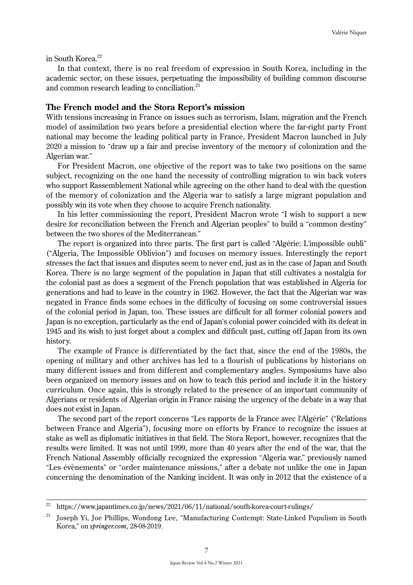in South Korea.<sup>22</sup>

In that context, there is no real freedom of expression in South Korea, including in the academic sector, on these issues, perpetuating the impossibility of building common discourse and common research leading to conciliation.<sup>23</sup>

#### **The French model and the Stora Report's mission**

With tensions increasing in France on issues such as terrorism, Islam, migration and the French model of assimilation two years before a presidential election where the far-right party Front national may become the leading political party in France, President Macron launched in July 2020 a mission to "draw up a fair and precise inventory of the memory of colonization and the Algerian war."

For President Macron, one objective of the report was to take two positions on the same subject, recognizing on the one hand the necessity of controlling migration to win back voters who support Rassemblement National while agreeing on the other hand to deal with the question of the memory of colonization and the Algeria war to satisfy a large migrant population and possibly win its vote when they choose to acquire French nationality.

In his letter commissioning the report, President Macron wrote "I wish to support a new desire for reconciliation between the French and Algerian peoples" to build a "common destiny" between the two shores of the Mediterranean."

The report is organized into three parts. The first part is called "Algérie: L'impossible oubli" ("Algeria, The Impossible Oblivion") and focuses on memory issues. Interestingly the report stresses the fact that issues and disputes seem to never end, just as in the case of Japan and South Korea. There is no large segment of the population in Japan that still cultivates a nostalgia for the colonial past as does a segment of the French population that was established in Algeria for generations and had to leave in the country in 1962. However, the fact that the Algerian war was negated in France finds some echoes in the difficulty of focusing on some controversial issues of the colonial period in Japan, too. These issues are difficult for all former colonial powers and Japan is no exception, particularly as the end of Japan's colonial power coincided with its defeat in 1945 and its wish to just forget about a complex and difficult past, cutting off Japan from its own history.

The example of France is differentiated by the fact that, since the end of the 1980s, the opening of military and other archives has led to a flourish of publications by historians on many different issues and from different and complementary angles. Symposiums have also been organized on memory issues and on how to teach this period and include it in the history curriculum. Once again, this is strongly related to the presence of an important community of Algerians or residents of Algerian origin in France raising the urgency of the debate in a way that does not exist in Japan.

The second part of the report concerns "Les rapports de la France avec l'Algérie" ("Relations between France and Algeria"), focusing more on efforts by France to recognize the issues at stake as well as diplomatic initiatives in that field. The Stora Report, however, recognizes that the results were limited. It was not until 1999, more than 40 years after the end of the war, that the French National Assembly officially recognized the expression "Algeria war," previously named "Les évènements" or "order maintenance missions," after a debate not unlike the one in Japan concerning the denomination of the Nanking incident. It was only in 2012 that the existence of a

<sup>&</sup>lt;sup>22</sup> https://www.japantimes.co.jp/news/2021/06/11/national/south-korea-court-rulings/

<sup>&</sup>lt;sup>23</sup> Joseph Yi, Joe Phillips, Wondong Lee, "Manufacturing Contempt: State-Linked Populism in South Korea," on *springer.com*, 28-08-2019.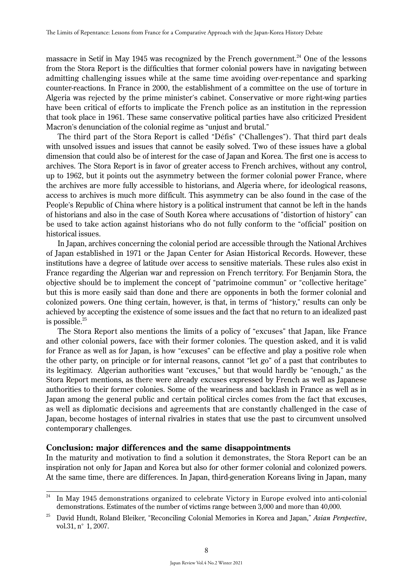massacre in Setif in May 1945 was recognized by the French government.<sup>24</sup> One of the lessons from the Stora Report is the difficulties that former colonial powers have in navigating between admitting challenging issues while at the same time avoiding over-repentance and sparking counter-reactions. In France in 2000, the establishment of a committee on the use of torture in Algeria was rejected by the prime minister's cabinet. Conservative or more right-wing parties have been critical of efforts to implicate the French police as an institution in the repression that took place in 1961. These same conservative political parties have also criticized President Macron's denunciation of the colonial regime as "unjust and brutal."

The third part of the Stora Report is called "Défis" ("Challenges"). That third part deals with unsolved issues and issues that cannot be easily solved. Two of these issues have a global dimension that could also be of interest for the case of Japan and Korea. The first one is access to archives. The Stora Report is in favor of greater access to French archives, without any control, up to 1962, but it points out the asymmetry between the former colonial power France, where the archives are more fully accessible to historians, and Algeria where, for ideological reasons, access to archives is much more difficult. This asymmetry can be also found in the case of the People's Republic of China where history is a political instrument that cannot be left in the hands of historians and also in the case of South Korea where accusations of "distortion of history" can be used to take action against historians who do not fully conform to the "official" position on historical issues.

In Japan, archives concerning the colonial period are accessible through the National Archives of Japan established in 1971 or the Japan Center for Asian Historical Records. However, these institutions have a degree of latitude over access to sensitive materials. These rules also exist in France regarding the Algerian war and repression on French territory. For Benjamin Stora, the objective should be to implement the concept of "patrimoine commun" or "collective heritage" but this is more easily said than done and there are opponents in both the former colonial and colonized powers. One thing certain, however, is that, in terms of "history," results can only be achieved by accepting the existence of some issues and the fact that no return to an idealized past is possible. $25$ 

The Stora Report also mentions the limits of a policy of "excuses" that Japan, like France and other colonial powers, face with their former colonies. The question asked, and it is valid for France as well as for Japan, is how "excuses" can be effective and play a positive role when the other party, on principle or for internal reasons, cannot "let go" of a past that contributes to its legitimacy. Algerian authorities want "excuses," but that would hardly be "enough," as the Stora Report mentions, as there were already excuses expressed by French as well as Japanese authorities to their former colonies. Some of the weariness and backlash in France as well as in Japan among the general public and certain political circles comes from the fact that excuses, as well as diplomatic decisions and agreements that are constantly challenged in the case of Japan, become hostages of internal rivalries in states that use the past to circumvent unsolved contemporary challenges.

## **Conclusion: major differences and the same disappointments**

In the maturity and motivation to find a solution it demonstrates, the Stora Report can be an inspiration not only for Japan and Korea but also for other former colonial and colonized powers. At the same time, there are differences. In Japan, third-generation Koreans living in Japan, many

 $24$  In May 1945 demonstrations organized to celebrate Victory in Europe evolved into anti-colonial demonstrations. Estimates of the number of victims range between 3,000 and more than 40,000.

<sup>25</sup> David Hundt, Roland Bleiker, "Reconciling Colonial Memories in Korea and Japan," *Asian Perspective*, vol.31, n° 1, 2007.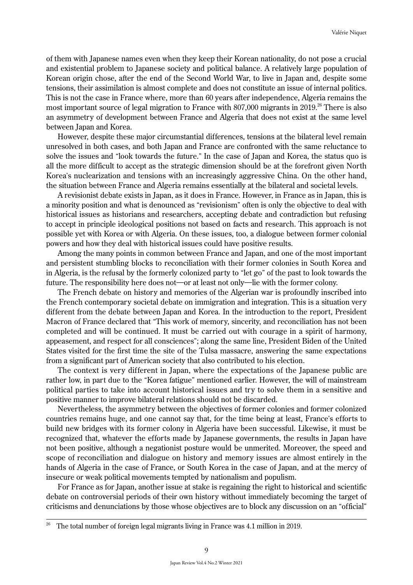of them with Japanese names even when they keep their Korean nationality, do not pose a crucial and existential problem to Japanese society and political balance. A relatively large population of Korean origin chose, after the end of the Second World War, to live in Japan and, despite some tensions, their assimilation is almost complete and does not constitute an issue of internal politics. This is not the case in France where, more than 60 years after independence, Algeria remains the most important source of legal migration to France with 807,000 migrants in 2019.<sup>26</sup> There is also an asymmetry of development between France and Algeria that does not exist at the same level between Japan and Korea.

However, despite these major circumstantial differences, tensions at the bilateral level remain unresolved in both cases, and both Japan and France are confronted with the same reluctance to solve the issues and "look towards the future." In the case of Japan and Korea, the status quo is all the more difficult to accept as the strategic dimension should be at the forefront given North Korea's nuclearization and tensions with an increasingly aggressive China. On the other hand, the situation between France and Algeria remains essentially at the bilateral and societal levels.

A revisionist debate exists in Japan, as it does in France. However, in France as in Japan, this is a minority position and what is denounced as "revisionism" often is only the objective to deal with historical issues as historians and researchers, accepting debate and contradiction but refusing to accept in principle ideological positions not based on facts and research. This approach is not possible yet with Korea or with Algeria. On these issues, too, a dialogue between former colonial powers and how they deal with historical issues could have positive results.

Among the many points in common between France and Japan, and one of the most important and persistent stumbling blocks to reconciliation with their former colonies in South Korea and in Algeria, is the refusal by the formerly colonized party to "let go" of the past to look towards the future. The responsibility here does not—or at least not only—lie with the former colony.

The French debate on history and memories of the Algerian war is profoundly inscribed into the French contemporary societal debate on immigration and integration. This is a situation very different from the debate between Japan and Korea. In the introduction to the report, President Macron of France declared that "This work of memory, sincerity, and reconciliation has not been completed and will be continued. It must be carried out with courage in a spirit of harmony, appeasement, and respect for all consciences"; along the same line, President Biden of the United States visited for the first time the site of the Tulsa massacre, answering the same expectations from a significant part of American society that also contributed to his election.

The context is very different in Japan, where the expectations of the Japanese public are rather low, in part due to the "Korea fatigue" mentioned earlier. However, the will of mainstream political parties to take into account historical issues and try to solve them in a sensitive and positive manner to improve bilateral relations should not be discarded.

Nevertheless, the asymmetry between the objectives of former colonies and former colonized countries remains huge, and one cannot say that, for the time being at least, France's efforts to build new bridges with its former colony in Algeria have been successful. Likewise, it must be recognized that, whatever the efforts made by Japanese governments, the results in Japan have not been positive, although a negationist posture would be unmerited. Moreover, the speed and scope of reconciliation and dialogue on history and memory issues are almost entirely in the hands of Algeria in the case of France, or South Korea in the case of Japan, and at the mercy of insecure or weak political movements tempted by nationalism and populism.

For France as for Japan, another issue at stake is regaining the right to historical and scientific debate on controversial periods of their own history without immediately becoming the target of criticisms and denunciations by those whose objectives are to block any discussion on an "official"

<sup>26</sup> The total number of foreign legal migrants living in France was 4.1 million in 2019.